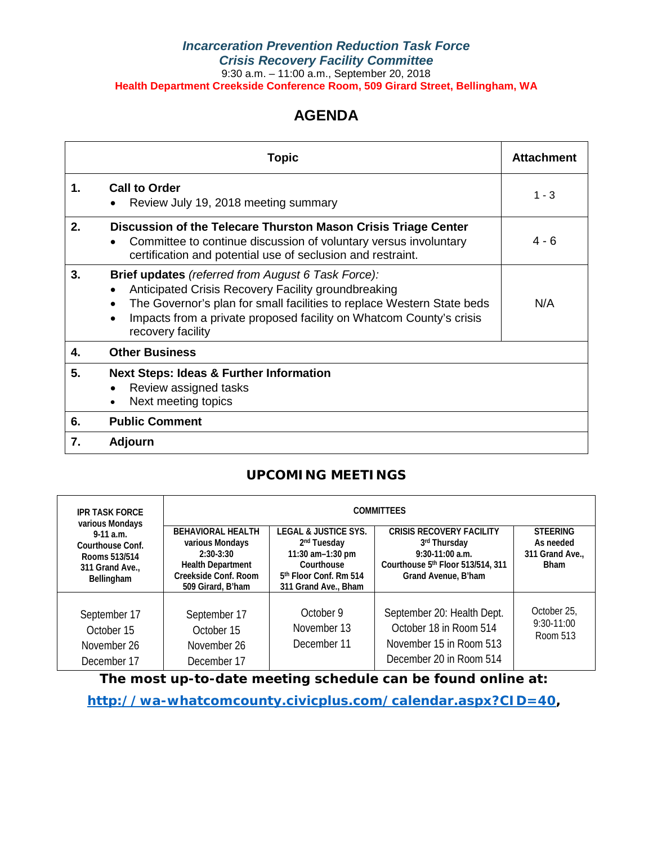### *Incarceration Prevention Reduction Task Force Crisis Recovery Facility Committee* 9:30 a.m. – 11:00 a.m., September 20, 2018 **Health Department Creekside Conference Room, 509 Girard Street, Bellingham, WA**

### **AGENDA**

|    | <b>Attachment</b>                                                                                                                                                                                                                                                                      |         |  |  |
|----|----------------------------------------------------------------------------------------------------------------------------------------------------------------------------------------------------------------------------------------------------------------------------------------|---------|--|--|
| 1. | <b>Call to Order</b><br>Review July 19, 2018 meeting summary                                                                                                                                                                                                                           | $1 - 3$ |  |  |
| 2. | Discussion of the Telecare Thurston Mason Crisis Triage Center<br>Committee to continue discussion of voluntary versus involuntary<br>certification and potential use of seclusion and restraint.                                                                                      | $4 - 6$ |  |  |
| 3. | <b>Brief updates</b> (referred from August 6 Task Force):<br>Anticipated Crisis Recovery Facility groundbreaking<br>The Governor's plan for small facilities to replace Western State beds<br>Impacts from a private proposed facility on Whatcom County's crisis<br>recovery facility | N/A     |  |  |
| 4. | <b>Other Business</b>                                                                                                                                                                                                                                                                  |         |  |  |
| 5. | <b>Next Steps: Ideas &amp; Further Information</b><br>Review assigned tasks<br>Next meeting topics                                                                                                                                                                                     |         |  |  |
| 6. | <b>Public Comment</b>                                                                                                                                                                                                                                                                  |         |  |  |
| 7. | <b>Adjourn</b>                                                                                                                                                                                                                                                                         |         |  |  |

### **UPCOMING MEETINGS**

| <b>IPR TASK FORCE</b><br>various Mondays                                         | <b>COMMITTEES</b>                                                                                                                   |                                                                                                                                                              |                                                                                                                                  |                                                                |  |  |  |  |  |  |
|----------------------------------------------------------------------------------|-------------------------------------------------------------------------------------------------------------------------------------|--------------------------------------------------------------------------------------------------------------------------------------------------------------|----------------------------------------------------------------------------------------------------------------------------------|----------------------------------------------------------------|--|--|--|--|--|--|
| $9-11$ a.m.<br>Courthouse Conf.<br>Rooms 513/514<br>311 Grand Ave.<br>Bellingham | <b>BEHAVIORAL HEALTH</b><br>various Mondays<br>$2:30-3:30$<br><b>Health Department</b><br>Creekside Conf. Room<br>509 Girard, B'ham | <b>LEGAL &amp; JUSTICE SYS.</b><br>2 <sup>nd</sup> Tuesday<br>11:30 $am-1:30$ pm<br>Courthouse<br>5 <sup>th</sup> Floor Conf. Rm 514<br>311 Grand Ave., Bham | <b>CRISIS RECOVERY FACILITY</b><br>3rd Thursday<br>$9:30-11:00$ a.m.<br>Courthouse 5th Floor 513/514, 311<br>Grand Avenue, B'ham | <b>STEERING</b><br>As needed<br>311 Grand Ave.,<br><b>Bham</b> |  |  |  |  |  |  |
| September 17<br>October 15<br>November 26<br>December 17                         | September 17<br>October 15<br>November 26<br>December 17                                                                            | October 9<br>November 13<br>December 11                                                                                                                      | September 20: Health Dept.<br>October 18 in Room 514<br>November 15 in Room 513<br>December 20 in Room 514                       | October 25.<br>$9:30-11:00$<br>Room 513                        |  |  |  |  |  |  |

**The most up-to-date meeting schedule can be found online at:**

**[http://wa-whatcomcounty.civicplus.com/calendar.aspx?CID=40,](http://wa-whatcomcounty.civicplus.com/calendar.aspx?CID=40)**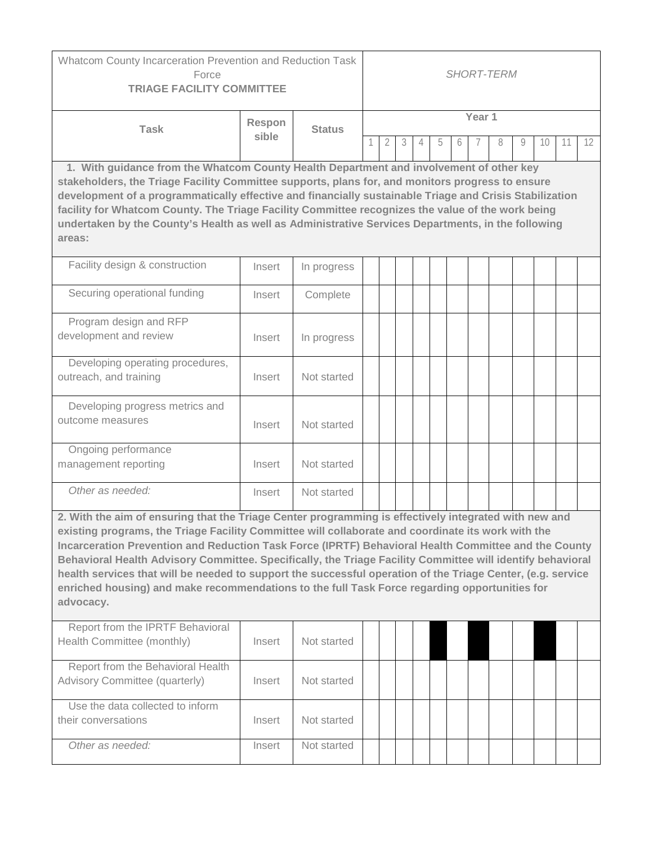| Whatcom County Incarceration Prevention and Reduction Task<br>Force<br><b>TRIAGE FACILITY COMMITTEE</b>                                                                                                                                                                                                                                                                                                                                                                                                                                                                                                                                                        |        |               | <b>SHORT-TERM</b> |   |   |   |   |   |  |   |   |    |    |                   |
|----------------------------------------------------------------------------------------------------------------------------------------------------------------------------------------------------------------------------------------------------------------------------------------------------------------------------------------------------------------------------------------------------------------------------------------------------------------------------------------------------------------------------------------------------------------------------------------------------------------------------------------------------------------|--------|---------------|-------------------|---|---|---|---|---|--|---|---|----|----|-------------------|
| <b>Task</b>                                                                                                                                                                                                                                                                                                                                                                                                                                                                                                                                                                                                                                                    | Respon | <b>Status</b> | Year 1            |   |   |   |   |   |  |   |   |    |    |                   |
|                                                                                                                                                                                                                                                                                                                                                                                                                                                                                                                                                                                                                                                                | sible  |               |                   | 2 | 3 | 4 | 5 | 6 |  | 8 | 9 | 10 | 11 | $12 \overline{ }$ |
| 1. With guidance from the Whatcom County Health Department and involvement of other key<br>stakeholders, the Triage Facility Committee supports, plans for, and monitors progress to ensure<br>development of a programmatically effective and financially sustainable Triage and Crisis Stabilization<br>facility for Whatcom County. The Triage Facility Committee recognizes the value of the work being<br>undertaken by the County's Health as well as Administrative Services Departments, in the following<br>areas:                                                                                                                                    |        |               |                   |   |   |   |   |   |  |   |   |    |    |                   |
| Facility design & construction                                                                                                                                                                                                                                                                                                                                                                                                                                                                                                                                                                                                                                 | Insert | In progress   |                   |   |   |   |   |   |  |   |   |    |    |                   |
| Securing operational funding                                                                                                                                                                                                                                                                                                                                                                                                                                                                                                                                                                                                                                   | Insert | Complete      |                   |   |   |   |   |   |  |   |   |    |    |                   |
| Program design and RFP<br>development and review                                                                                                                                                                                                                                                                                                                                                                                                                                                                                                                                                                                                               | Insert | In progress   |                   |   |   |   |   |   |  |   |   |    |    |                   |
| Developing operating procedures,<br>outreach, and training                                                                                                                                                                                                                                                                                                                                                                                                                                                                                                                                                                                                     | Insert | Not started   |                   |   |   |   |   |   |  |   |   |    |    |                   |
| Developing progress metrics and<br>outcome measures                                                                                                                                                                                                                                                                                                                                                                                                                                                                                                                                                                                                            | Insert | Not started   |                   |   |   |   |   |   |  |   |   |    |    |                   |
| Ongoing performance<br>management reporting                                                                                                                                                                                                                                                                                                                                                                                                                                                                                                                                                                                                                    | Insert | Not started   |                   |   |   |   |   |   |  |   |   |    |    |                   |
| Other as needed:                                                                                                                                                                                                                                                                                                                                                                                                                                                                                                                                                                                                                                               | Insert | Not started   |                   |   |   |   |   |   |  |   |   |    |    |                   |
| 2. With the aim of ensuring that the Triage Center programming is effectively integrated with new and<br>existing programs, the Triage Facility Committee will collaborate and coordinate its work with the<br>Incarceration Prevention and Reduction Task Force (IPRTF) Behavioral Health Committee and the County<br>Behavioral Health Advisory Committee. Specifically, the Triage Facility Committee will identify behavioral<br>health services that will be needed to support the successful operation of the Triage Center, (e.g. service<br>enriched housing) and make recommendations to the full Task Force regarding opportunities for<br>advocacy. |        |               |                   |   |   |   |   |   |  |   |   |    |    |                   |
| Report from the IPRTF Behavioral<br>Health Committee (monthly)                                                                                                                                                                                                                                                                                                                                                                                                                                                                                                                                                                                                 | Insert | Not started   |                   |   |   |   |   |   |  |   |   |    |    |                   |
| Report from the Behavioral Health<br>Advisory Committee (quarterly)                                                                                                                                                                                                                                                                                                                                                                                                                                                                                                                                                                                            | Insert | Not started   |                   |   |   |   |   |   |  |   |   |    |    |                   |
| Use the data collected to inform<br>their conversations                                                                                                                                                                                                                                                                                                                                                                                                                                                                                                                                                                                                        | Insert | Not started   |                   |   |   |   |   |   |  |   |   |    |    |                   |
| Other as needed:                                                                                                                                                                                                                                                                                                                                                                                                                                                                                                                                                                                                                                               | Insert | Not started   |                   |   |   |   |   |   |  |   |   |    |    |                   |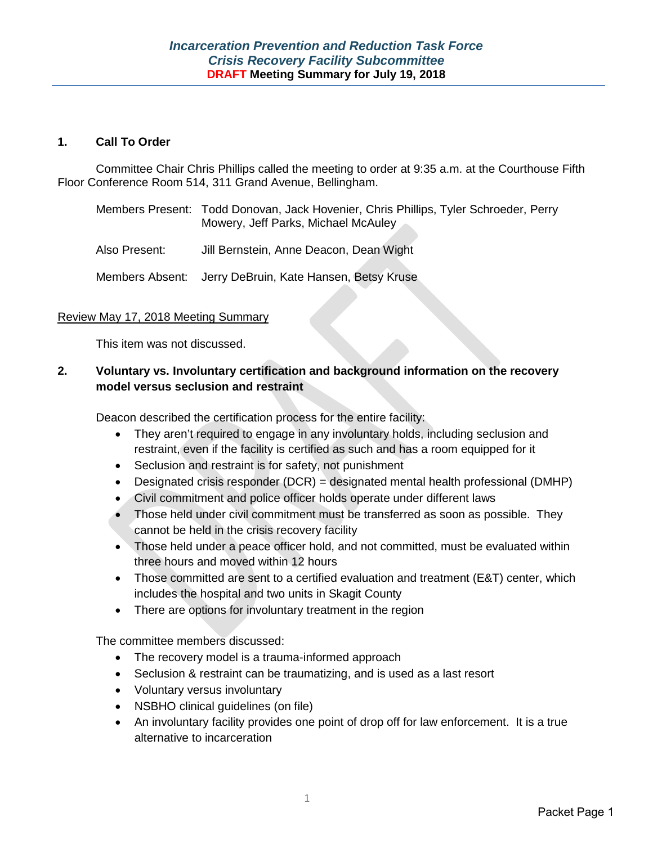### **1. Call To Order**

Committee Chair Chris Phillips called the meeting to order at 9:35 a.m. at the Courthouse Fifth Floor Conference Room 514, 311 Grand Avenue, Bellingham.

| Members Present: Todd Donovan, Jack Hovenier, Chris Phillips, Tyler Schroeder, Perry |
|--------------------------------------------------------------------------------------|
| Mowery, Jeff Parks, Michael McAuley                                                  |

Also Present: Jill Bernstein, Anne Deacon, Dean Wight

Members Absent: Jerry DeBruin, Kate Hansen, Betsy Kruse

### Review May 17, 2018 Meeting Summary

This item was not discussed.

### **2. Voluntary vs. Involuntary certification and background information on the recovery model versus seclusion and restraint**

Deacon described the certification process for the entire facility:

- They aren't required to engage in any involuntary holds, including seclusion and restraint, even if the facility is certified as such and has a room equipped for it
- Seclusion and restraint is for safety, not punishment
- Designated crisis responder (DCR) = designated mental health professional (DMHP)
- Civil commitment and police officer holds operate under different laws
- Those held under civil commitment must be transferred as soon as possible. They cannot be held in the crisis recovery facility
- Those held under a peace officer hold, and not committed, must be evaluated within three hours and moved within 12 hours
- Those committed are sent to a certified evaluation and treatment (E&T) center, which includes the hospital and two units in Skagit County
- There are options for involuntary treatment in the region

The committee members discussed:

- The recovery model is a trauma-informed approach
- Seclusion & restraint can be traumatizing, and is used as a last resort
- Voluntary versus involuntary
- NSBHO clinical guidelines (on file)
- An involuntary facility provides one point of drop off for law enforcement. It is a true alternative to incarceration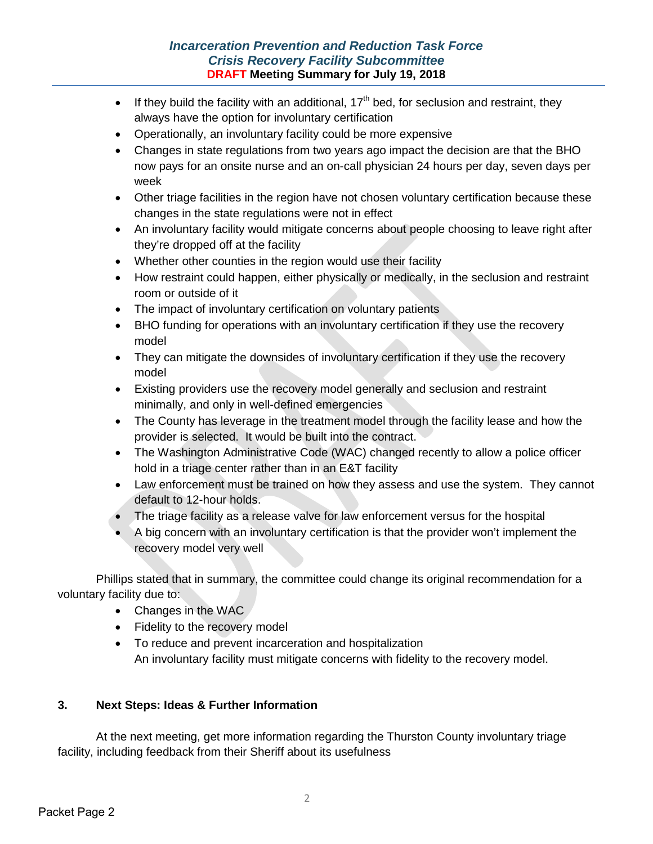- If they build the facility with an additional,  $17<sup>th</sup>$  bed, for seclusion and restraint, they always have the option for involuntary certification
- Operationally, an involuntary facility could be more expensive
- Changes in state regulations from two years ago impact the decision are that the BHO now pays for an onsite nurse and an on-call physician 24 hours per day, seven days per week
- Other triage facilities in the region have not chosen voluntary certification because these changes in the state regulations were not in effect
- An involuntary facility would mitigate concerns about people choosing to leave right after they're dropped off at the facility
- Whether other counties in the region would use their facility
- How restraint could happen, either physically or medically, in the seclusion and restraint room or outside of it
- The impact of involuntary certification on voluntary patients
- BHO funding for operations with an involuntary certification if they use the recovery model
- They can mitigate the downsides of involuntary certification if they use the recovery model
- Existing providers use the recovery model generally and seclusion and restraint minimally, and only in well-defined emergencies
- The County has leverage in the treatment model through the facility lease and how the provider is selected. It would be built into the contract.
- The Washington Administrative Code (WAC) changed recently to allow a police officer hold in a triage center rather than in an E&T facility
- Law enforcement must be trained on how they assess and use the system. They cannot default to 12-hour holds.
- The triage facility as a release valve for law enforcement versus for the hospital
- A big concern with an involuntary certification is that the provider won't implement the recovery model very well

Phillips stated that in summary, the committee could change its original recommendation for a voluntary facility due to:

- Changes in the WAC
- Fidelity to the recovery model
- To reduce and prevent incarceration and hospitalization An involuntary facility must mitigate concerns with fidelity to the recovery model.

### **3. Next Steps: Ideas & Further Information**

At the next meeting, get more information regarding the Thurston County involuntary triage facility, including feedback from their Sheriff about its usefulness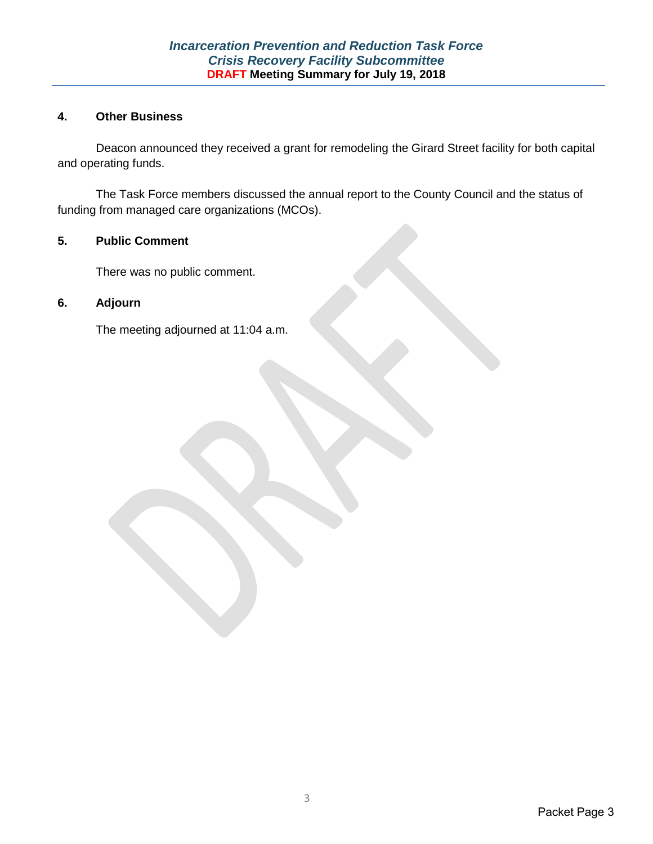### **4. Other Business**

Deacon announced they received a grant for remodeling the Girard Street facility for both capital and operating funds.

The Task Force members discussed the annual report to the County Council and the status of funding from managed care organizations (MCOs).

### **5. Public Comment**

There was no public comment.

### **6. Adjourn**

The meeting adjourned at 11:04 a.m.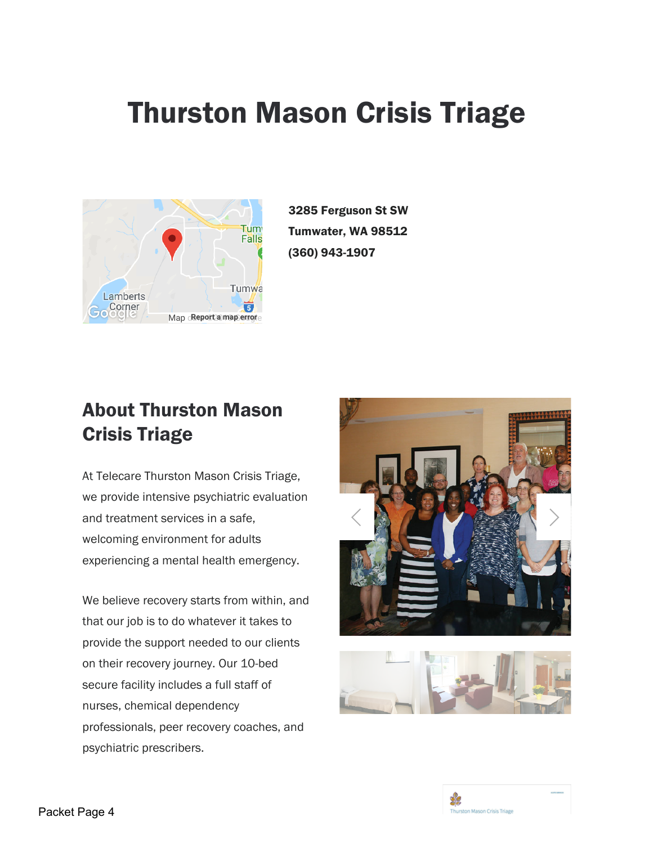# Thurston Mason Crisis Triage



3285 Ferguson St SW Tumwater, WA 98512 (360) 943-1907

## About Thurston Mason Crisis Triage

At Telecare Thurston Mason Crisis Triage, we provide intensive psychiatric evaluation and treatment services in a safe, welcoming environment for adults experiencing a mental health emergency.

We believe recovery starts from within, and that our job is to do whatever it takes to provide the support needed to our clients on their recovery journey. Our 10-bed secure facility includes a full staff of nurses, chemical dependency professionals, peer recovery coaches, and psychiatric prescribers.





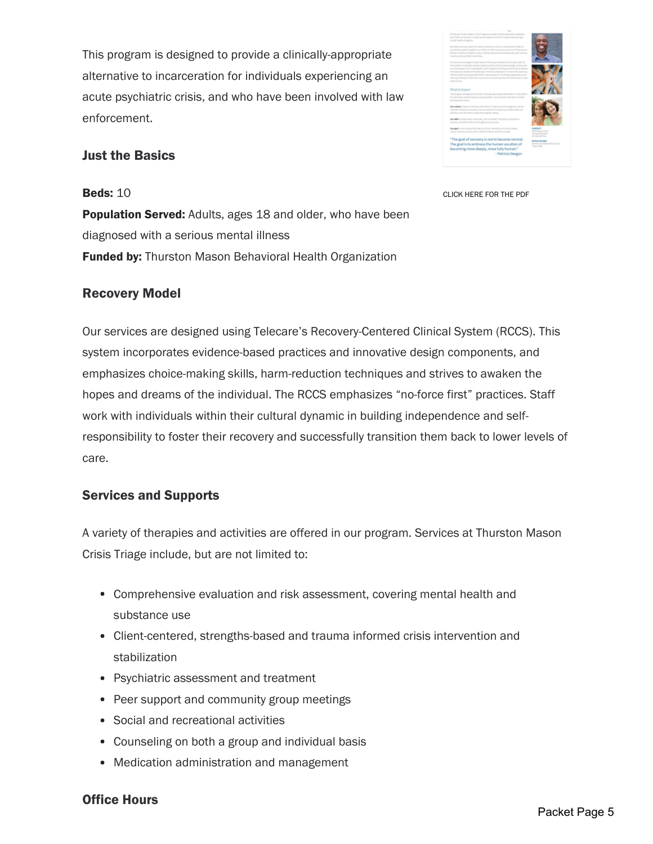This program is designed to provide a clinically-appropriate alternative to incarceration for individuals experiencing an acute psychiatric crisis, and who have been involved with law enforcement.

### Just the Basics

**Beds: 10** 

CLICK HERE FOR THE PDF

**Population Served:** Adults, ages 18 and older, who have been diagnosed with a serious mental illness **Funded by:** Thurston Mason Behavioral Health Organization

### Recovery Model

Our services are designed using Telecare's Recovery-Centered Clinical System (RCCS). This system incorporates evidence-based practices and innovative design components, and emphasizes choice-making skills, harm-reduction techniques and strives to awaken the hopes and dreams of the individual. The RCCS emphasizes "no-force first" practices. Staff work with individuals within their cultural dynamic in building independence and selfresponsibility to foster their recovery and successfully transition them back to lower levels of care.

### Services and Supports

A variety of therapies and activities are offered in our program. Services at Thurston Mason Crisis Triage include, but are not limited to:

- Comprehensive evaluation and risk assessment, covering mental health and substance use
- Client-centered, strengths-based and trauma informed crisis intervention and stabilization
- Psychiatric assessment and treatment
- Peer support and community group meetings
- Social and recreational activities
- Counseling on both a group and individual basis
- Medication administration and management

### Office Hours